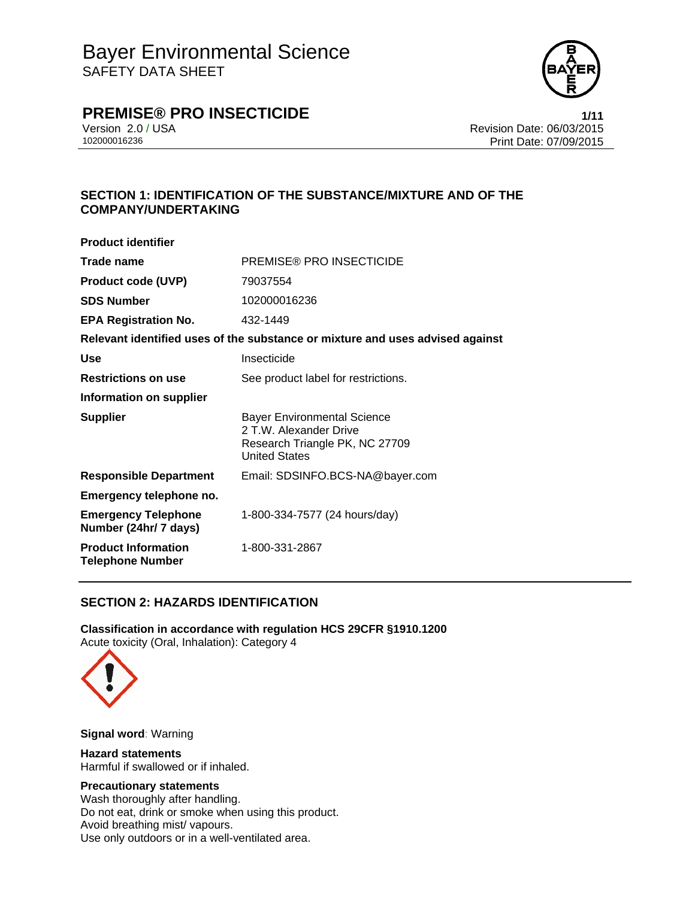

# **PREMISE® PRO INSECTICIDE 1/11**

Version 2.0 / USA Revision Date: 06/03/2015 Print Date: 07/09/2015

## **SECTION 1: IDENTIFICATION OF THE SUBSTANCE/MIXTURE AND OF THE COMPANY/UNDERTAKING**

| <b>Product identifier</b>                             |                                                                                                                        |
|-------------------------------------------------------|------------------------------------------------------------------------------------------------------------------------|
| Trade name                                            | <b>PREMISE® PRO INSECTICIDE</b>                                                                                        |
| <b>Product code (UVP)</b>                             | 79037554                                                                                                               |
| <b>SDS Number</b>                                     | 102000016236                                                                                                           |
| <b>EPA Registration No.</b>                           | 432-1449                                                                                                               |
|                                                       | Relevant identified uses of the substance or mixture and uses advised against                                          |
| Use                                                   | Insecticide                                                                                                            |
| <b>Restrictions on use</b>                            | See product label for restrictions.                                                                                    |
| Information on supplier                               |                                                                                                                        |
| <b>Supplier</b>                                       | <b>Bayer Environmental Science</b><br>2 T.W. Alexander Drive<br>Research Triangle PK, NC 27709<br><b>United States</b> |
| <b>Responsible Department</b>                         | Email: SDSINFO.BCS-NA@bayer.com                                                                                        |
| Emergency telephone no.                               |                                                                                                                        |
| <b>Emergency Telephone</b><br>Number (24hr/ 7 days)   | 1-800-334-7577 (24 hours/day)                                                                                          |
| <b>Product Information</b><br><b>Telephone Number</b> | 1-800-331-2867                                                                                                         |

## **SECTION 2: HAZARDS IDENTIFICATION**

**Classification in accordance with regulation HCS 29CFR §1910.1200**  Acute toxicity (Oral, Inhalation): Category 4



**Signal word**: Warning

## **Hazard statements**

Harmful if swallowed or if inhaled.

## **Precautionary statements**

Wash thoroughly after handling. Do not eat, drink or smoke when using this product. Avoid breathing mist/ vapours. Use only outdoors or in a well-ventilated area.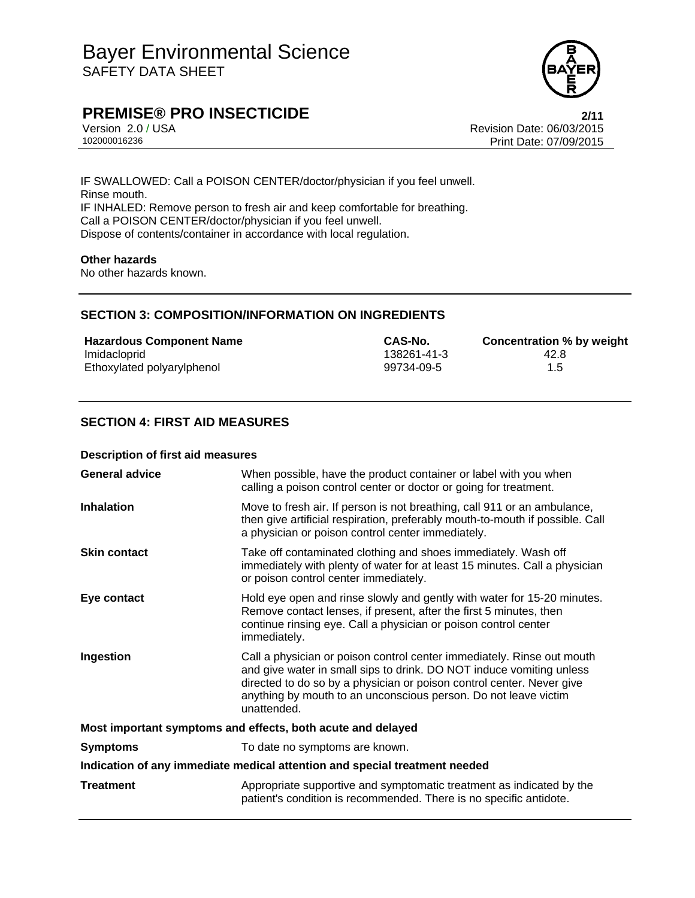

# **PREMISE® PRO INSECTICIDE** 2/11

Version 2.0 / USA Revision Date: 06/03/2015 Print Date: 07/09/2015

IF SWALLOWED: Call a POISON CENTER/doctor/physician if you feel unwell. Rinse mouth. IF INHALED: Remove person to fresh air and keep comfortable for breathing. Call a POISON CENTER/doctor/physician if you feel unwell. Dispose of contents/container in accordance with local regulation.

## **Other hazards**

No other hazards known.

## **SECTION 3: COMPOSITION/INFORMATION ON INGREDIENTS**

| <b>Hazardous Component Name</b> | CAS-No.     | Concentration % by weight |
|---------------------------------|-------------|---------------------------|
| Imidacloprid                    | 138261-41-3 | 42.8                      |
| Ethoxylated polyarylphenol      | 99734-09-5  | 1.5                       |

## **SECTION 4: FIRST AID MEASURES**

#### **Description of first aid measures**

| <b>General advice</b>                                                      | When possible, have the product container or label with you when<br>calling a poison control center or doctor or going for treatment.                                                                                                                                                                     |  |
|----------------------------------------------------------------------------|-----------------------------------------------------------------------------------------------------------------------------------------------------------------------------------------------------------------------------------------------------------------------------------------------------------|--|
| <b>Inhalation</b>                                                          | Move to fresh air. If person is not breathing, call 911 or an ambulance,<br>then give artificial respiration, preferably mouth-to-mouth if possible. Call<br>a physician or poison control center immediately.                                                                                            |  |
| <b>Skin contact</b>                                                        | Take off contaminated clothing and shoes immediately. Wash off<br>immediately with plenty of water for at least 15 minutes. Call a physician<br>or poison control center immediately.                                                                                                                     |  |
| Eye contact                                                                | Hold eye open and rinse slowly and gently with water for 15-20 minutes.<br>Remove contact lenses, if present, after the first 5 minutes, then<br>continue rinsing eye. Call a physician or poison control center<br>immediately.                                                                          |  |
| Ingestion                                                                  | Call a physician or poison control center immediately. Rinse out mouth<br>and give water in small sips to drink. DO NOT induce vomiting unless<br>directed to do so by a physician or poison control center. Never give<br>anything by mouth to an unconscious person. Do not leave victim<br>unattended. |  |
| Most important symptoms and effects, both acute and delayed                |                                                                                                                                                                                                                                                                                                           |  |
| <b>Symptoms</b>                                                            | To date no symptoms are known.                                                                                                                                                                                                                                                                            |  |
| Indication of any immediate medical attention and special treatment needed |                                                                                                                                                                                                                                                                                                           |  |
| <b>Treatment</b>                                                           | Appropriate supportive and symptomatic treatment as indicated by the<br>patient's condition is recommended. There is no specific antidote.                                                                                                                                                                |  |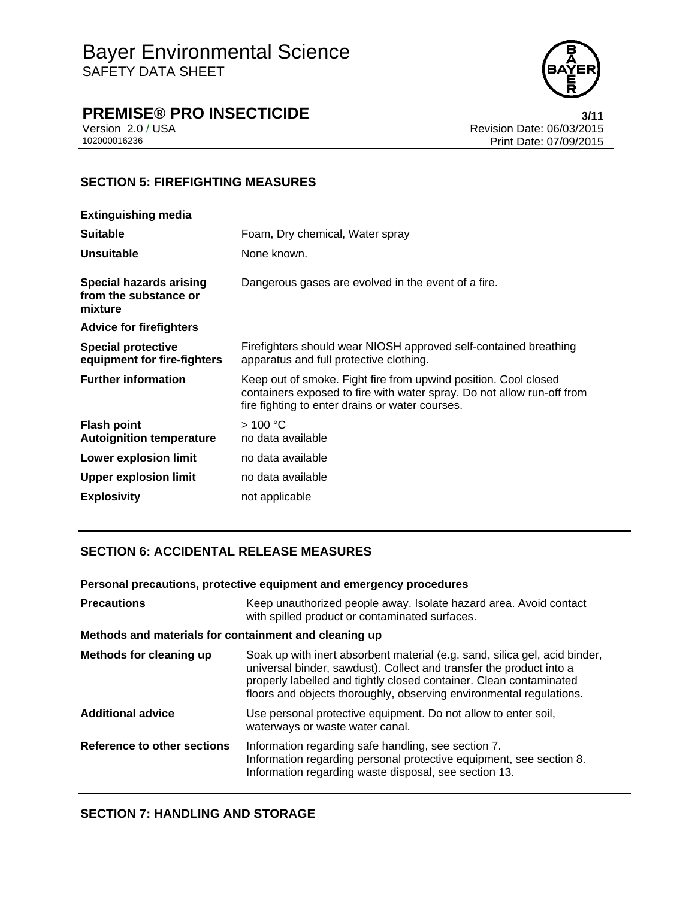

# **PREMISE® PRO INSECTICIDE 3/11**

Version 2.0 / USA Revision Date: 06/03/2015<br>102000016236 Print Date: 07/09/2015 Print Date: 07/09/2015

## **SECTION 5: FIREFIGHTING MEASURES**

| Foam, Dry chemical, Water spray                                                                                                                                                              |
|----------------------------------------------------------------------------------------------------------------------------------------------------------------------------------------------|
| None known.                                                                                                                                                                                  |
| Dangerous gases are evolved in the event of a fire.                                                                                                                                          |
|                                                                                                                                                                                              |
| Firefighters should wear NIOSH approved self-contained breathing<br>apparatus and full protective clothing.                                                                                  |
| Keep out of smoke. Fight fire from upwind position. Cool closed<br>containers exposed to fire with water spray. Do not allow run-off from<br>fire fighting to enter drains or water courses. |
| >100 °C                                                                                                                                                                                      |
| no data available                                                                                                                                                                            |
| no data available                                                                                                                                                                            |
| no data available                                                                                                                                                                            |
|                                                                                                                                                                                              |

## **SECTION 6: ACCIDENTAL RELEASE MEASURES**

### **Personal precautions, protective equipment and emergency procedures**

| <b>Precautions</b>                                    | Keep unauthorized people away. Isolate hazard area. Avoid contact<br>with spilled product or contaminated surfaces.                                                                                                                                                                            |
|-------------------------------------------------------|------------------------------------------------------------------------------------------------------------------------------------------------------------------------------------------------------------------------------------------------------------------------------------------------|
| Methods and materials for containment and cleaning up |                                                                                                                                                                                                                                                                                                |
| Methods for cleaning up                               | Soak up with inert absorbent material (e.g. sand, silica gel, acid binder,<br>universal binder, sawdust). Collect and transfer the product into a<br>properly labelled and tightly closed container. Clean contaminated<br>floors and objects thoroughly, observing environmental regulations. |
| <b>Additional advice</b>                              | Use personal protective equipment. Do not allow to enter soil,<br>waterways or waste water canal.                                                                                                                                                                                              |
| Reference to other sections                           | Information regarding safe handling, see section 7.<br>Information regarding personal protective equipment, see section 8.<br>Information regarding waste disposal, see section 13.                                                                                                            |

## **SECTION 7: HANDLING AND STORAGE**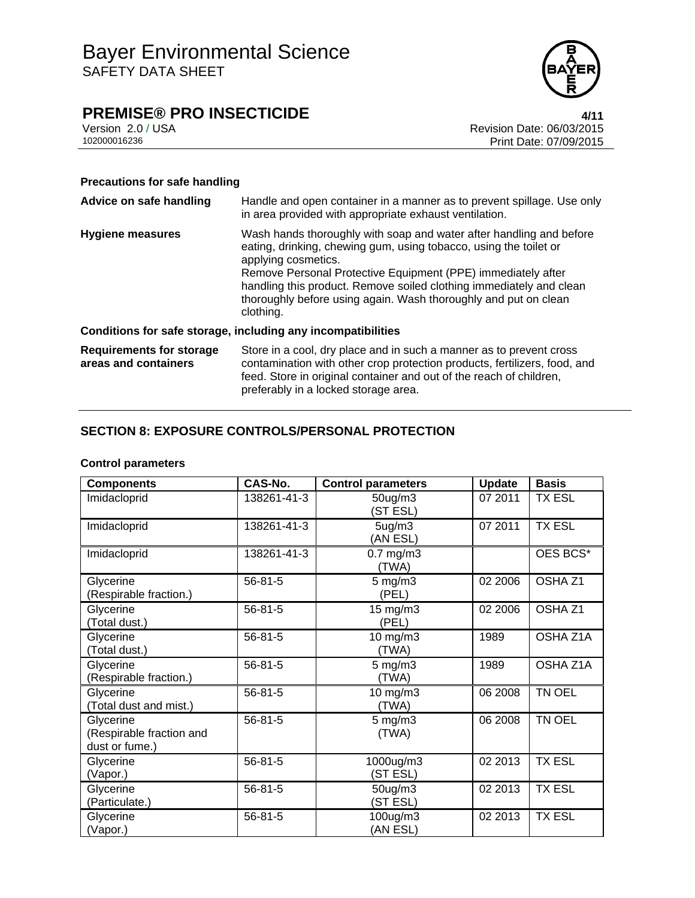

# **PREMISE® PRO INSECTICIDE**<br>Version 2.0 / USA **1/11**<br>Revision Date: 06/03/2015

Version 2.0 / USA Revision Date: 06/03/2015<br>102000016236 Print Date: 07/09/2015 Print Date: 07/09/2015

## **Precautions for safe handling**

| Advice on safe handling                                 | Handle and open container in a manner as to prevent spillage. Use only<br>in area provided with appropriate exhaust ventilation.                                                                                                                                                                                                                                                       |  |
|---------------------------------------------------------|----------------------------------------------------------------------------------------------------------------------------------------------------------------------------------------------------------------------------------------------------------------------------------------------------------------------------------------------------------------------------------------|--|
| <b>Hygiene measures</b>                                 | Wash hands thoroughly with soap and water after handling and before<br>eating, drinking, chewing gum, using tobacco, using the toilet or<br>applying cosmetics.<br>Remove Personal Protective Equipment (PPE) immediately after<br>handling this product. Remove soiled clothing immediately and clean<br>thoroughly before using again. Wash thoroughly and put on clean<br>clothing. |  |
|                                                         | Conditions for safe storage, including any incompatibilities                                                                                                                                                                                                                                                                                                                           |  |
| <b>Requirements for storage</b><br>areas and containers | Store in a cool, dry place and in such a manner as to prevent cross<br>contamination with other crop protection products, fertilizers, food, and<br>feed. Store in original container and out of the reach of children,<br>preferably in a locked storage area.                                                                                                                        |  |

## **SECTION 8: EXPOSURE CONTROLS/PERSONAL PROTECTION**

## **Control parameters**

| <b>Components</b>                                       | CAS-No.       | <b>Control parameters</b>   | <b>Update</b> | <b>Basis</b>       |
|---------------------------------------------------------|---------------|-----------------------------|---------------|--------------------|
| Imidacloprid                                            | 138261-41-3   | $50$ ug/m $3$<br>(ST ESL)   | 07 2011       | <b>TX ESL</b>      |
| Imidacloprid                                            | 138261-41-3   | 5ug/m3<br>(AN ESL)          | 07 2011       | <b>TX ESL</b>      |
| Imidacloprid                                            | 138261-41-3   | $0.7$ mg/m $3$<br>(TWA)     |               | OES BCS*           |
| Glycerine<br>(Respirable fraction.)                     | $56 - 81 - 5$ | $5 \text{ mg/m}$ 3<br>(PEL) | 02 2006       | OSHA Z1            |
| Glycerine<br>(Total dust.)                              | $56 - 81 - 5$ | 15 mg/m3<br>(PEL)           | 02 2006       | OSHA <sub>Z1</sub> |
| Glycerine<br>(Total dust.)                              | $56 - 81 - 5$ | $10$ mg/m $3$<br>(TWA)      | 1989          | OSHA Z1A           |
| Glycerine<br>(Respirable fraction.)                     | $56 - 81 - 5$ | $5$ mg/m $3$<br>(TWA)       | 1989          | OSHA Z1A           |
| Glycerine<br>(Total dust and mist.)                     | $56 - 81 - 5$ | 10 mg/m3<br>(TWA)           | 06 2008       | TN OEL             |
| Glycerine<br>(Respirable fraction and<br>dust or fume.) | 56-81-5       | $5 \text{ mg/m}$ 3<br>(TWA) | 06 2008       | TN OEL             |
| Glycerine<br>(Vapor.)                                   | 56-81-5       | 1000ug/m3<br>(ST ESL)       | 02 2013       | <b>TX ESL</b>      |
| Glycerine<br>(Particulate.)                             | 56-81-5       | $50$ ug/m $3$<br>(ST ESL)   | 02 2013       | <b>TX ESL</b>      |
| Glycerine<br>(Vapor.)                                   | 56-81-5       | 100ug/m3<br>(AN ESL)        | 02 2013       | <b>TX ESL</b>      |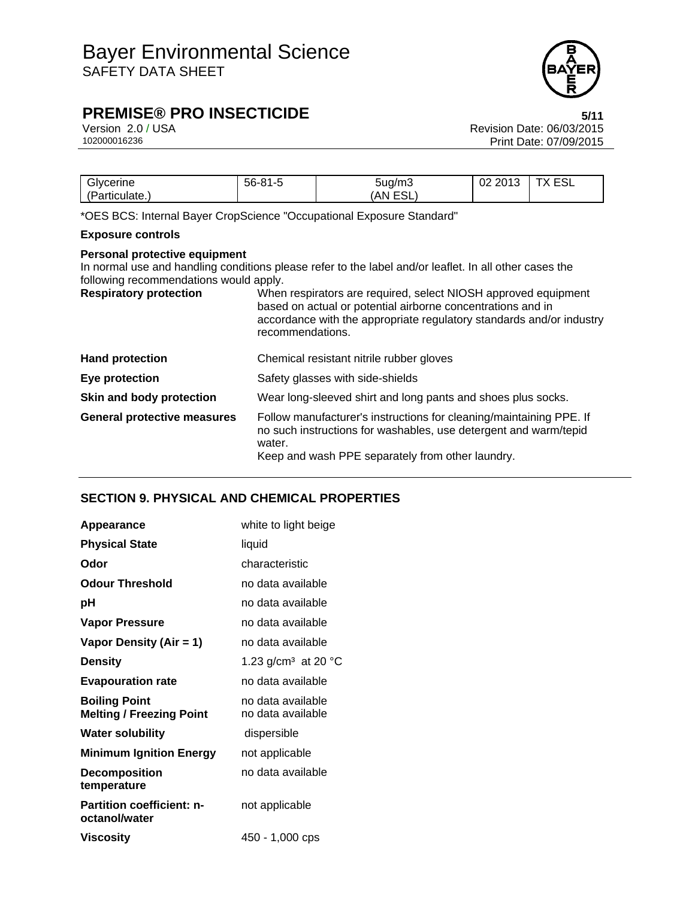

# **PREMISE® PRO INSECTICIDE** 5/11

Version 2.0 / USA Revision Date: 06/03/2015<br>102000016236 Print Date: 07/09/2015 Print Date: 07/09/2015

| Glycerine      | 56-81-5 | 5ug/m3                 | 0010<br>Ωr<br>د ۱ کا<br>UZ. | TV FOI<br>Y<br>– ∪∟ |
|----------------|---------|------------------------|-----------------------------|---------------------|
| (Particulate., |         | ro i<br>AN<br>-<br>⊏א∟ |                             |                     |

\*OES BCS: Internal Bayer CropScience "Occupational Exposure Standard"

## **Exposure controls**

### **Personal protective equipment**

In normal use and handling conditions please refer to the label and/or leaflet. In all other cases the following recommendations would apply.

| <b>Respiratory protection</b>      | When respirators are required, select NIOSH approved equipment<br>based on actual or potential airborne concentrations and in<br>accordance with the appropriate regulatory standards and/or industry<br>recommendations. |  |
|------------------------------------|---------------------------------------------------------------------------------------------------------------------------------------------------------------------------------------------------------------------------|--|
| <b>Hand protection</b>             | Chemical resistant nitrile rubber gloves                                                                                                                                                                                  |  |
| Eye protection                     | Safety glasses with side-shields                                                                                                                                                                                          |  |
| Skin and body protection           | Wear long-sleeved shirt and long pants and shoes plus socks.                                                                                                                                                              |  |
| <b>General protective measures</b> | Follow manufacturer's instructions for cleaning/maintaining PPE. If<br>no such instructions for washables, use detergent and warm/tepid<br>water.<br>Keep and wash PPE separately from other laundry.                     |  |

## **SECTION 9. PHYSICAL AND CHEMICAL PROPERTIES**

| Appearance                                              | white to light beige                   |
|---------------------------------------------------------|----------------------------------------|
| <b>Physical State</b>                                   | liquid                                 |
| Odor                                                    | characteristic                         |
| <b>Odour Threshold</b>                                  | no data available                      |
| рH                                                      | no data available                      |
| <b>Vapor Pressure</b>                                   | no data available                      |
| Vapor Density (Air = 1)                                 | no data available                      |
| <b>Density</b>                                          | 1.23 g/cm <sup>3</sup> at 20 °C        |
| <b>Evapouration rate</b>                                | no data available                      |
| <b>Boiling Point</b><br><b>Melting / Freezing Point</b> | no data available<br>no data available |
| <b>Water solubility</b>                                 | dispersible                            |
| <b>Minimum Ignition Energy</b>                          | not applicable                         |
| <b>Decomposition</b><br>temperature                     | no data available                      |
| <b>Partition coefficient: n-</b><br>octanol/water       | not applicable                         |
| Viscosity                                               | 450 - 1,000 cps                        |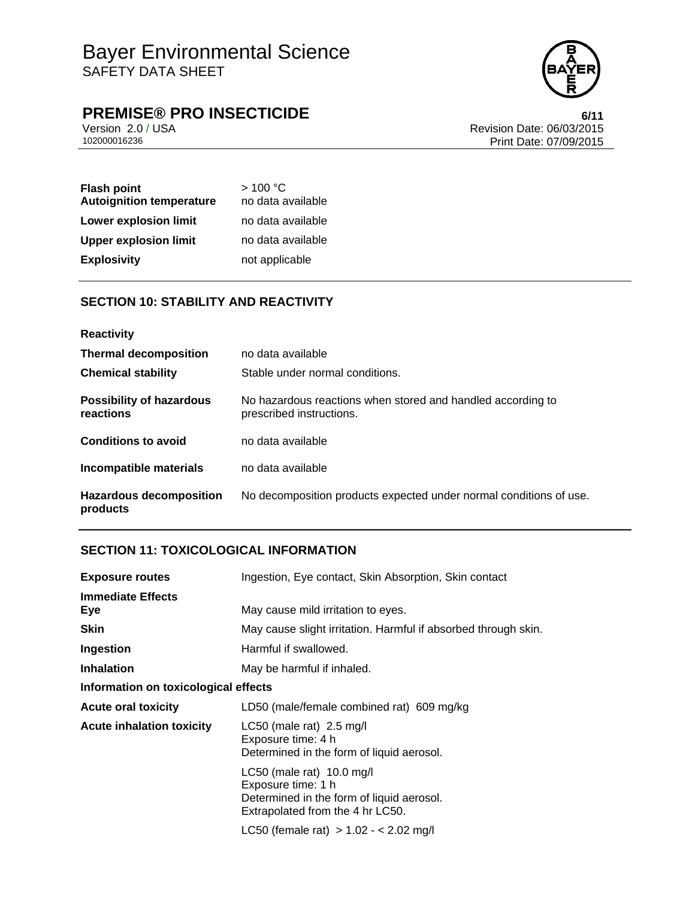

# **PREMISE® PRO INSECTICIDE**<br>Version 2.0 / USA **bigger and Secure 2.0 / USA** Revision Date: 06/03/2015

Version 2.0 / USA Revision Date: 06/03/2015<br>102000016236 Print Date: 07/09/2015 Print Date: 07/09/2015

| <b>Flash point</b><br><b>Autoignition temperature</b> | >100 °C<br>no data available |
|-------------------------------------------------------|------------------------------|
| <b>Lower explosion limit</b>                          | no data available            |
| <b>Upper explosion limit</b>                          | no data available            |
| <b>Explosivity</b>                                    | not applicable               |

## **SECTION 10: STABILITY AND REACTIVITY**

| <b>Reactivity</b>                            |                                                                                         |
|----------------------------------------------|-----------------------------------------------------------------------------------------|
| <b>Thermal decomposition</b>                 | no data available                                                                       |
| <b>Chemical stability</b>                    | Stable under normal conditions.                                                         |
| <b>Possibility of hazardous</b><br>reactions | No hazardous reactions when stored and handled according to<br>prescribed instructions. |
| <b>Conditions to avoid</b>                   | no data available                                                                       |
| Incompatible materials                       | no data available                                                                       |
| <b>Hazardous decomposition</b><br>products   | No decomposition products expected under normal conditions of use.                      |

## **SECTION 11: TOXICOLOGICAL INFORMATION**

| <b>Exposure routes</b>               | Ingestion, Eye contact, Skin Absorption, Skin contact                                                                            |  |
|--------------------------------------|----------------------------------------------------------------------------------------------------------------------------------|--|
| <b>Immediate Effects</b><br>Eye      | May cause mild irritation to eyes.                                                                                               |  |
| <b>Skin</b>                          | May cause slight irritation. Harmful if absorbed through skin.                                                                   |  |
| Ingestion                            | Harmful if swallowed.                                                                                                            |  |
| <b>Inhalation</b>                    | May be harmful if inhaled.                                                                                                       |  |
| Information on toxicological effects |                                                                                                                                  |  |
| <b>Acute oral toxicity</b>           | LD50 (male/female combined rat) 609 mg/kg                                                                                        |  |
| <b>Acute inhalation toxicity</b>     | LC50 (male rat) 2.5 mg/l<br>Exposure time: 4 h<br>Determined in the form of liquid aerosol.                                      |  |
|                                      | LC50 (male rat) 10.0 mg/l<br>Exposure time: 1 h<br>Determined in the form of liquid aerosol.<br>Extrapolated from the 4 hr LC50. |  |
|                                      | LC50 (female rat) $> 1.02 - 2.02$ mg/l                                                                                           |  |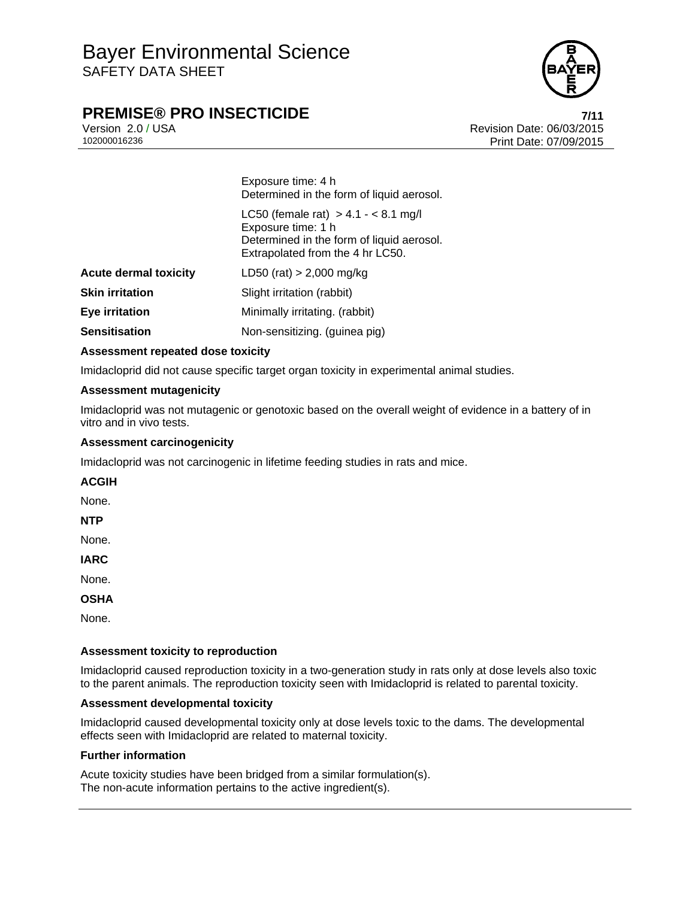

# **PREMISE® PRO INSECTICIDE** *7/11***</sup>**

Version 2.0 / USA Revision Date: 06/03/2015 102000016236 Print Date: 07/09/2015

> Exposure time: 4 h Determined in the form of liquid aerosol.

|                              | LC50 (female rat) $> 4.1 - < 8.1$ mg/l<br>Exposure time: 1 h<br>Determined in the form of liquid aerosol.<br>Extrapolated from the 4 hr LC50. |
|------------------------------|-----------------------------------------------------------------------------------------------------------------------------------------------|
| <b>Acute dermal toxicity</b> | LD50 (rat) $> 2,000$ mg/kg                                                                                                                    |
| <b>Skin irritation</b>       | Slight irritation (rabbit)                                                                                                                    |
| Eye irritation               | Minimally irritating. (rabbit)                                                                                                                |
| <b>Sensitisation</b>         | Non-sensitizing. (guinea pig)                                                                                                                 |

### **Assessment repeated dose toxicity**

Imidacloprid did not cause specific target organ toxicity in experimental animal studies.

### **Assessment mutagenicity**

Imidacloprid was not mutagenic or genotoxic based on the overall weight of evidence in a battery of in vitro and in vivo tests.

#### **Assessment carcinogenicity**

Imidacloprid was not carcinogenic in lifetime feeding studies in rats and mice.

**ACGIH** 

None.

**NTP** 

None.

**IARC** 

None.

**OSHA** 

None.

#### **Assessment toxicity to reproduction**

Imidacloprid caused reproduction toxicity in a two-generation study in rats only at dose levels also toxic to the parent animals. The reproduction toxicity seen with Imidacloprid is related to parental toxicity.

#### **Assessment developmental toxicity**

Imidacloprid caused developmental toxicity only at dose levels toxic to the dams. The developmental effects seen with Imidacloprid are related to maternal toxicity.

#### **Further information**

Acute toxicity studies have been bridged from a similar formulation(s). The non-acute information pertains to the active ingredient(s).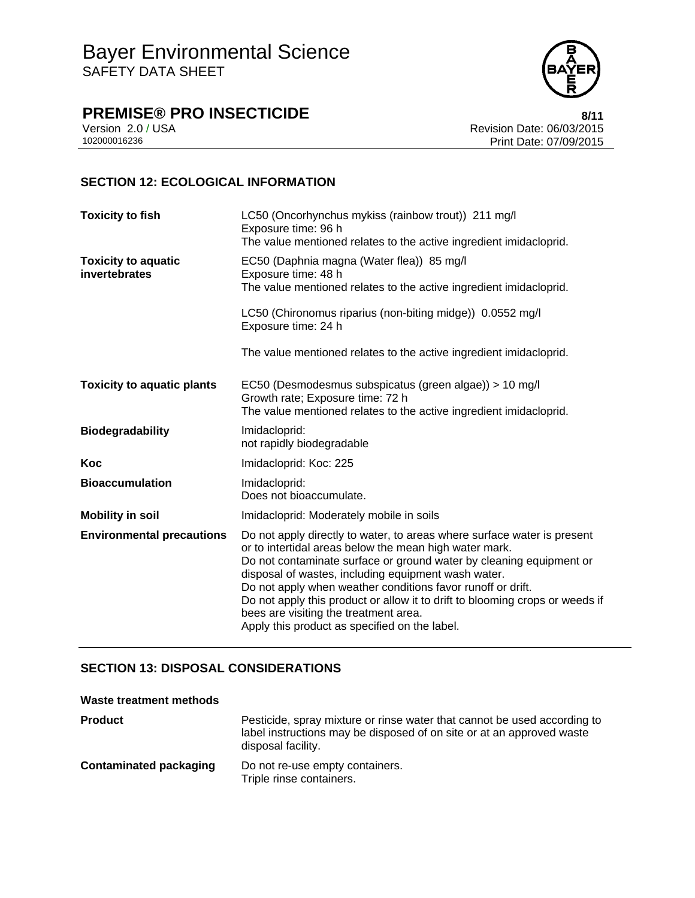

**PREMISE® PRO INSECTICIDE**<br>Version 2.0 / USA **by Case 2.0 / USA** 

Version 2.0 / USA Revision Date: 06/03/2015<br>102000016236 Print Date: 07/09/2015 Print Date: 07/09/2015

## **SECTION 12: ECOLOGICAL INFORMATION**

| <b>Toxicity to fish</b>                     | LC50 (Oncorhynchus mykiss (rainbow trout)) 211 mg/l<br>Exposure time: 96 h<br>The value mentioned relates to the active ingredient imidacloprid.                                                                                                                                                                                                                                                                                                                                                         |
|---------------------------------------------|----------------------------------------------------------------------------------------------------------------------------------------------------------------------------------------------------------------------------------------------------------------------------------------------------------------------------------------------------------------------------------------------------------------------------------------------------------------------------------------------------------|
| <b>Toxicity to aquatic</b><br>invertebrates | EC50 (Daphnia magna (Water flea)) 85 mg/l<br>Exposure time: 48 h<br>The value mentioned relates to the active ingredient imidacloprid.                                                                                                                                                                                                                                                                                                                                                                   |
|                                             | LC50 (Chironomus riparius (non-biting midge)) 0.0552 mg/l<br>Exposure time: 24 h                                                                                                                                                                                                                                                                                                                                                                                                                         |
|                                             | The value mentioned relates to the active ingredient imidacloprid.                                                                                                                                                                                                                                                                                                                                                                                                                                       |
| <b>Toxicity to aquatic plants</b>           | EC50 (Desmodesmus subspicatus (green algae)) > 10 mg/l<br>Growth rate; Exposure time: 72 h<br>The value mentioned relates to the active ingredient imidacloprid.                                                                                                                                                                                                                                                                                                                                         |
| <b>Biodegradability</b>                     | Imidacloprid:<br>not rapidly biodegradable                                                                                                                                                                                                                                                                                                                                                                                                                                                               |
| Koc                                         | Imidacloprid: Koc: 225                                                                                                                                                                                                                                                                                                                                                                                                                                                                                   |
| <b>Bioaccumulation</b>                      | Imidacloprid:<br>Does not bioaccumulate.                                                                                                                                                                                                                                                                                                                                                                                                                                                                 |
| <b>Mobility in soil</b>                     | Imidacloprid: Moderately mobile in soils                                                                                                                                                                                                                                                                                                                                                                                                                                                                 |
| <b>Environmental precautions</b>            | Do not apply directly to water, to areas where surface water is present<br>or to intertidal areas below the mean high water mark.<br>Do not contaminate surface or ground water by cleaning equipment or<br>disposal of wastes, including equipment wash water.<br>Do not apply when weather conditions favor runoff or drift.<br>Do not apply this product or allow it to drift to blooming crops or weeds if<br>bees are visiting the treatment area.<br>Apply this product as specified on the label. |

## **SECTION 13: DISPOSAL CONSIDERATIONS**

| Waste treatment methods       |                                                                                                                                                                         |
|-------------------------------|-------------------------------------------------------------------------------------------------------------------------------------------------------------------------|
| <b>Product</b>                | Pesticide, spray mixture or rinse water that cannot be used according to<br>label instructions may be disposed of on site or at an approved waste<br>disposal facility. |
| <b>Contaminated packaging</b> | Do not re-use empty containers.<br>Triple rinse containers.                                                                                                             |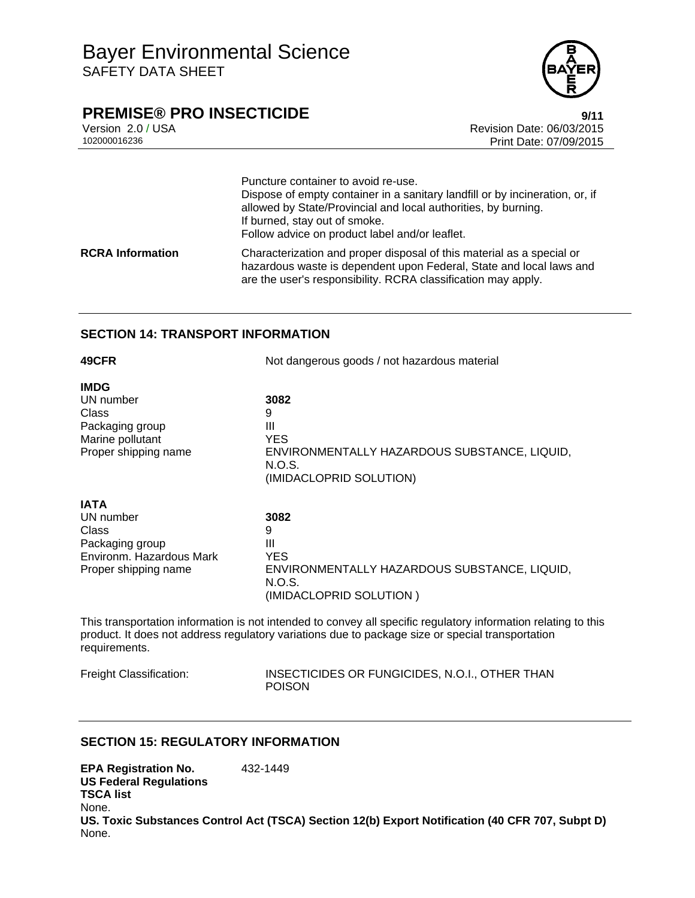

## **PREMISE® PRO INSECTICIDE** 9/11

Version 2.0 / USA Revision Date: 06/03/2015 Print Date: 07/09/2015

|                         | Puncture container to avoid re-use.<br>Dispose of empty container in a sanitary landfill or by incineration, or, if<br>allowed by State/Provincial and local authorities, by burning.<br>If burned, stay out of smoke.<br>Follow advice on product label and/or leaflet. |
|-------------------------|--------------------------------------------------------------------------------------------------------------------------------------------------------------------------------------------------------------------------------------------------------------------------|
| <b>RCRA Information</b> | Characterization and proper disposal of this material as a special or<br>hazardous waste is dependent upon Federal, State and local laws and<br>are the user's responsibility. RCRA classification may apply.                                                            |

## **SECTION 14: TRANSPORT INFORMATION**

| 49CFR                    | Not dangerous goods / not hazardous material           |  |
|--------------------------|--------------------------------------------------------|--|
| <b>IMDG</b>              |                                                        |  |
| UN number                | 3082                                                   |  |
| Class                    | 9                                                      |  |
| Packaging group          | Ш                                                      |  |
| Marine pollutant         | <b>YES</b>                                             |  |
| Proper shipping name     | ENVIRONMENTALLY HAZARDOUS SUBSTANCE, LIQUID,           |  |
|                          | N.O.S.                                                 |  |
|                          | (IMIDACLOPRID SOLUTION)                                |  |
| <b>IATA</b>              |                                                        |  |
| UN number                | 3082                                                   |  |
| Class                    | 9                                                      |  |
| Packaging group          | Ш                                                      |  |
| Environm. Hazardous Mark | <b>YES</b>                                             |  |
| Proper shipping name     | ENVIRONMENTALLY HAZARDOUS SUBSTANCE, LIQUID,<br>N.O.S. |  |

This transportation information is not intended to convey all specific regulatory information relating to this product. It does not address regulatory variations due to package size or special transportation requirements.

(IMIDACLOPRID SOLUTION )

Freight Classification: INSECTICIDES OR FUNGICIDES, N.O.I., OTHER THAN POISON

## **SECTION 15: REGULATORY INFORMATION**

**EPA Registration No.** 432-1449 **US Federal Regulations TSCA list** None. **US. Toxic Substances Control Act (TSCA) Section 12(b) Export Notification (40 CFR 707, Subpt D)** None.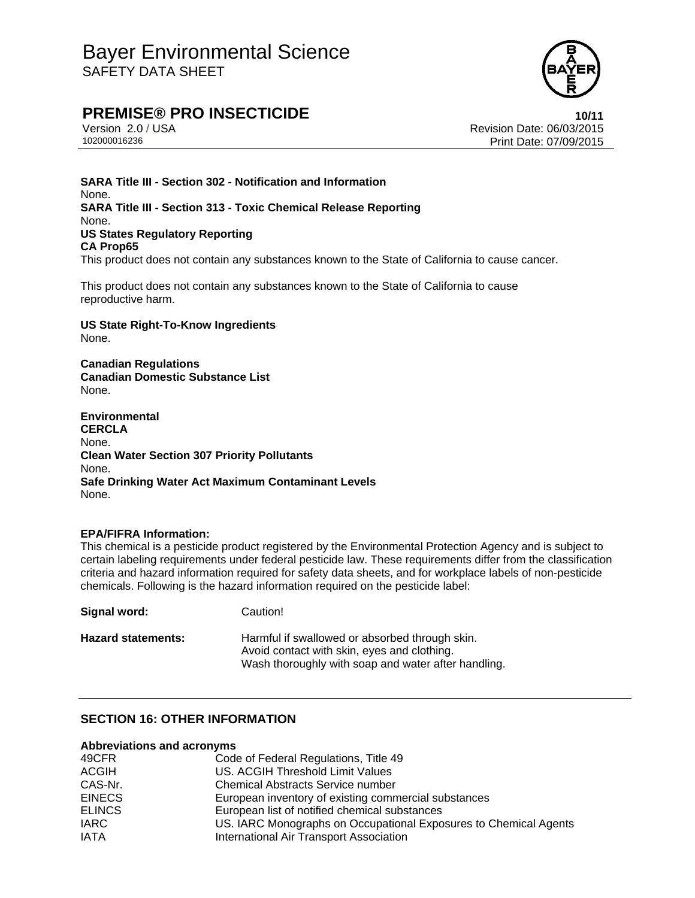

# **PREMISE® PRO INSECTICIDE 10/11**

Version 2.0 / USA Revision Date: 06/03/2015 102000016236 Print Date: 07/09/2015

**SARA Title III - Section 302 - Notification and Information** None. **SARA Title III - Section 313 - Toxic Chemical Release Reporting** None. **US States Regulatory Reporting CA Prop65** This product does not contain any substances known to the State of California to cause cancer.

This product does not contain any substances known to the State of California to cause reproductive harm.

**US State Right-To-Know Ingredients** None.

**Canadian Regulations Canadian Domestic Substance List**  None.

**Environmental CERCLA**  None. **Clean Water Section 307 Priority Pollutants**  None. **Safe Drinking Water Act Maximum Contaminant Levels**  None.

#### **EPA/FIFRA Information:**

This chemical is a pesticide product registered by the Environmental Protection Agency and is subject to certain labeling requirements under federal pesticide law. These requirements differ from the classification criteria and hazard information required for safety data sheets, and for workplace labels of non-pesticide chemicals. Following is the hazard information required on the pesticide label:

| Signal word:              | Caution!                                                                                                                                             |
|---------------------------|------------------------------------------------------------------------------------------------------------------------------------------------------|
| <b>Hazard statements:</b> | Harmful if swallowed or absorbed through skin.<br>Avoid contact with skin, eyes and clothing.<br>Wash thoroughly with soap and water after handling. |

## **SECTION 16: OTHER INFORMATION**

#### **Abbreviations and acronyms**

| 49CFR         | Code of Federal Regulations, Title 49                            |
|---------------|------------------------------------------------------------------|
| <b>ACGIH</b>  | US. ACGIH Threshold Limit Values                                 |
| CAS-Nr.       | <b>Chemical Abstracts Service number</b>                         |
| <b>EINECS</b> | European inventory of existing commercial substances             |
| <b>ELINCS</b> | European list of notified chemical substances                    |
| <b>IARC</b>   | US. IARC Monographs on Occupational Exposures to Chemical Agents |
| <b>IATA</b>   | International Air Transport Association                          |